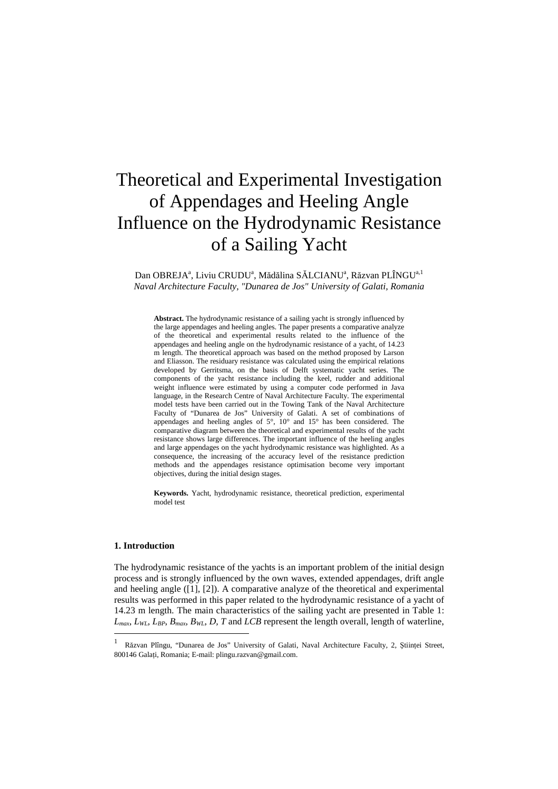# Theoretical and Experimental Investigation of Appendages and Heeling Angle Influence on the Hydrodynamic Resistance of a Sailing Yacht

Dan OBREJA<sup>a</sup>, Liviu CRUDU<sup>a</sup>, Mădălina SĂLCIANU<sup>a</sup>, Răzvan PLÎNGU<sup>a, 1</sup> *Naval Architecture Faculty, "Dunarea de Jos" University of Galati, Romania* 

**Abstract.** The hydrodynamic resistance of a sailing yacht is strongly influenced by the large appendages and heeling angles. The paper presents a comparative analyze of the theoretical and experimental results related to the influence of the appendages and heeling angle on the hydrodynamic resistance of a yacht, of 14.23 m length. The theoretical approach was based on the method proposed by Larson and Eliasson. The residuary resistance was calculated using the empirical relations developed by Gerritsma, on the basis of Delft systematic yacht series. The components of the yacht resistance including the keel, rudder and additional weight influence were estimated by using a computer code performed in Java language, in the Research Centre of Naval Architecture Faculty. The experimental model tests have been carried out in the Towing Tank of the Naval Architecture Faculty of "Dunarea de Jos" University of Galati. A set of combinations of appendages and heeling angles of 5°, 10° and 15° has been considered. The comparative diagram between the theoretical and experimental results of the yacht resistance shows large differences. The important influence of the heeling angles and large appendages on the yacht hydrodynamic resistance was highlighted. As a consequence, the increasing of the accuracy level of the resistance prediction methods and the appendages resistance optimisation become very important objectives, during the initial design stages.

**Keywords.** Yacht, hydrodynamic resistance, theoretical prediction, experimental model test

# **1. Introduction**

 $\overline{a}$ 

The hydrodynamic resistance of the yachts is an important problem of the initial design process and is strongly influenced by the own waves, extended appendages, drift angle and heeling angle  $(1, 2)$ . A comparative analyze of the theoretical and experimental results was performed in this paper related to the hydrodynamic resistance of a yacht of 14.23 m length. The main characteristics of the sailing yacht are presented in Table 1:  $L_{max}$ ,  $L_{WI}$ ,  $L_{BP}$ ,  $B_{max}$ ,  $B_{WI}$ ,  $D$ ,  $T$  and  $LCB$  represent the length overall, length of waterline,

<sup>1</sup> Răzvan Plîngu, "Dunarea de Jos" University of Galati, Naval Architecture Faculty, 2, Științei Street, 800146 Galaţi, Romania; E-mail: plingu.razvan@gmail.com.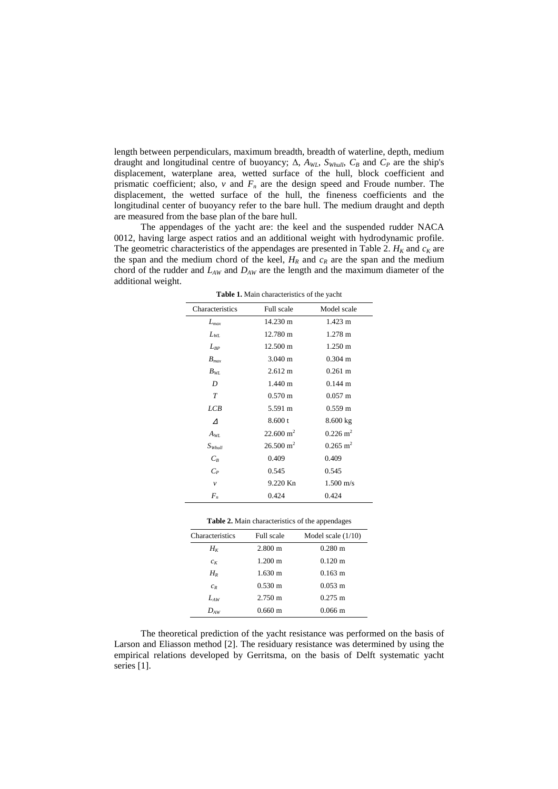length between perpendiculars, maximum breadth, breadth of waterline, depth, medium draught and longitudinal centre of buoyancy; ∆, *AWL*, *SWhull*, *CB* and *CP* are the ship's displacement, waterplane area, wetted surface of the hull, block coefficient and prismatic coefficient; also,  $v$  and  $F_n$  are the design speed and Froude number. The displacement, the wetted surface of the hull, the fineness coefficients and the longitudinal center of buoyancy refer to the bare hull. The medium draught and depth are measured from the base plan of the bare hull.

 The appendages of the yacht are: the keel and the suspended rudder NACA 0012, having large aspect ratios and an additional weight with hydrodynamic profile. The geometric characteristics of the appendages are presented in Table 2.  $H_K$  and  $c_K$  are the span and the medium chord of the keel,  $H_R$  and  $c_R$  are the span and the medium chord of the rudder and *LAW* and *DAW* are the length and the maximum diameter of the additional weight.

| Characteristics      | Full scale           | Model scale             |
|----------------------|----------------------|-------------------------|
| $L_{max}$            | 14.230 m             | $1.423 \text{ m}$       |
| $L_{WL}$             | 12.780 m             | $1.278 \text{ m}$       |
| $L_{BP}$             | 12.500 m             | 1.250 m                 |
| $B_{max}$            | $3.040 \text{ m}$    | $0.304 \text{ m}$       |
| $B_{WL}$             | $2.612 \text{ m}$    | $0.261 \text{ m}$       |
| D                    | $1.440 \text{ m}$    | $0.144 \; \mathrm{m}$   |
| T                    | $0.570 \text{ m}$    | $0.057 \text{ m}$       |
| LCB                  | 5.591 m              | $0.559 \text{ m}$       |
| $\Lambda$            | 8.600 t              | 8.600 kg                |
| $A_{WL}$             | $22.600 \text{ m}^2$ | $0.226 \text{ m}^2$     |
| $S_{\textit{Whull}}$ | $26.500 \text{ m}^2$ | $0.265 \; \mathrm{m}^2$ |
| $C_R$                | 0.409                | 0.409                   |
| $C_P$                | 0.545                | 0.545                   |
| $\mathcal V$         | 9.220 Kn             | $1.500 \text{ m/s}$     |
| $F_n$                | 0.424                | 0.424                   |

**Table 1.** Main characteristics of the yacht

|  | Table 2. Main characteristics of the appendages |  |  |
|--|-------------------------------------------------|--|--|
|--|-------------------------------------------------|--|--|

| Characteristics | Full scale        | Model scale $(1/10)$  |
|-----------------|-------------------|-----------------------|
| $H_{K}$         | $2.800 \text{ m}$ | $0.280 \text{ m}$     |
| $c_K$           | $1.200 \text{ m}$ | $0.120 \text{ m}$     |
| $H_R$           | $1.630 \text{ m}$ | $0.163 \text{ m}$     |
| $c_R$           | $0.530 \text{ m}$ | $0.053 \; \mathrm{m}$ |
| $L_{AW}$        | $2.750 \text{ m}$ | $0.275 \text{ m}$     |
| $D_{AW}$        | $0.660 \text{ m}$ | $0.066 \text{ m}$     |
|                 |                   |                       |

 The theoretical prediction of the yacht resistance was performed on the basis of Larson and Eliasson method [2]. The residuary resistance was determined by using the empirical relations developed by Gerritsma, on the basis of Delft systematic yacht series [1].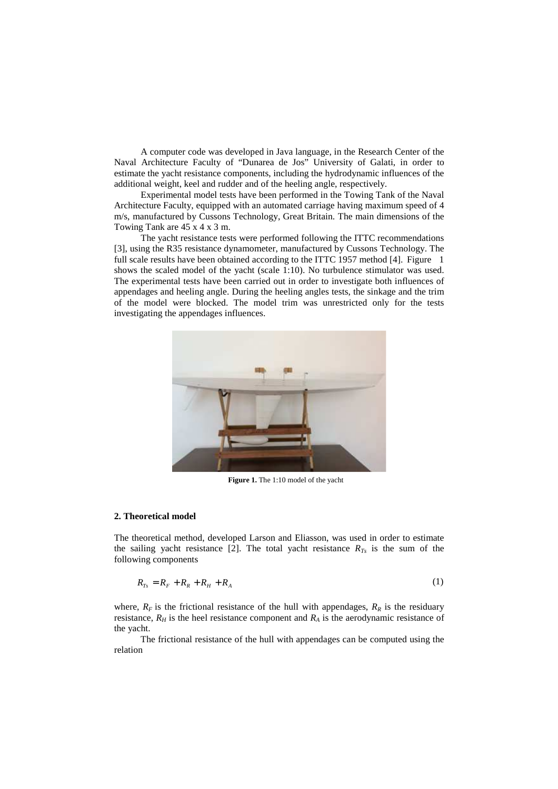A computer code was developed in Java language, in the Research Center of the Naval Architecture Faculty of "Dunarea de Jos" University of Galati, in order to estimate the yacht resistance components, including the hydrodynamic influences of the additional weight, keel and rudder and of the heeling angle, respectively.

 Experimental model tests have been performed in the Towing Tank of the Naval Architecture Faculty, equipped with an automated carriage having maximum speed of 4 m/s, manufactured by Cussons Technology, Great Britain. The main dimensions of the Towing Tank are 45 x 4 x 3 m.

 The yacht resistance tests were performed following the ITTC recommendations [3], using the R35 resistance dynamometer, manufactured by Cussons Technology. The full scale results have been obtained according to the ITTC 1957 method [4]. Figure 1 shows the scaled model of the yacht (scale 1:10). No turbulence stimulator was used. The experimental tests have been carried out in order to investigate both influences of appendages and heeling angle. During the heeling angles tests, the sinkage and the trim of the model were blocked. The model trim was unrestricted only for the tests investigating the appendages influences.



**Figure 1.** The 1:10 model of the yacht

## **2. Theoretical model**

The theoretical method, developed Larson and Eliasson, was used in order to estimate the sailing yacht resistance [2]. The total yacht resistance  $R_{T<sub>s</sub>}$  is the sum of the following components

$$
R_{Ts} = R_F + R_R + R_H + R_A \tag{1}
$$

where,  $R_F$  is the frictional resistance of the hull with appendages,  $R_R$  is the residuary resistance,  $R_H$  is the heel resistance component and  $R_A$  is the aerodynamic resistance of the yacht.

 The frictional resistance of the hull with appendages can be computed using the relation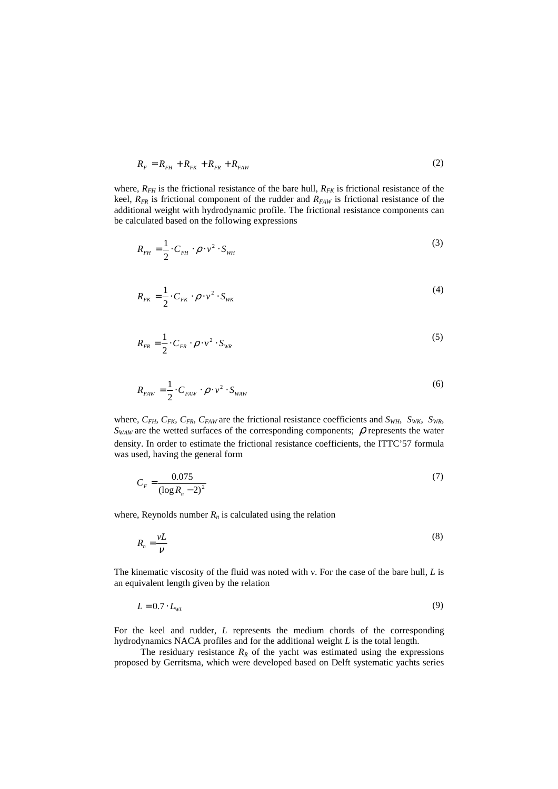$$
R_F = R_{FH} + R_{FK} + R_{FR} + R_{FAW}
$$
 (2)

where,  $R_{FH}$  is the frictional resistance of the bare hull,  $R_{FK}$  is frictional resistance of the keel, *RFR* is frictional component of the rudder and *RFAW* is frictional resistance of the additional weight with hydrodynamic profile. The frictional resistance components can be calculated based on the following expressions

$$
R_{FH} = \frac{1}{2} \cdot C_{FH} \cdot \rho \cdot v^2 \cdot S_{WH}
$$
 (3)

$$
R_{FK} = \frac{1}{2} \cdot C_{FK} \cdot \rho \cdot v^2 \cdot S_{WK}
$$
 (4)

$$
R_{FR} = \frac{1}{2} \cdot C_{FR} \cdot \rho \cdot v^2 \cdot S_{WR}
$$

$$
R_{FAW} = \frac{1}{2} \cdot C_{FAW} \cdot \rho \cdot v^2 \cdot S_{WAW}
$$
 (6)

where,  $C_{FH}$ ,  $C_{FK}$ ,  $C_{FR}$ ,  $C_{FAW}$  are the frictional resistance coefficients and  $S_{WH}$ ,  $S_{WK}$ ,  $S_{WR}$ ,  $S_{WAW}$  are the wetted surfaces of the corresponding components;  $\rho$  represents the water density. In order to estimate the frictional resistance coefficients, the ITTC'57 formula was used, having the general form

$$
C_F = \frac{0.075}{(\log R_n - 2)^2} \tag{7}
$$

where, Reynolds number  $R_n$  is calculated using the relation

$$
R_n = \frac{vL}{V}
$$
 (8)

The kinematic viscosity of the fluid was noted with ν. For the case of the bare hull, *L* is an equivalent length given by the relation

$$
L = 0.7 \cdot L_{WL} \tag{9}
$$

For the keel and rudder, *L* represents the medium chords of the corresponding hydrodynamics NACA profiles and for the additional weight *L* is the total length.

The residuary resistance  $R_R$  of the yacht was estimated using the expressions proposed by Gerritsma, which were developed based on Delft systematic yachts series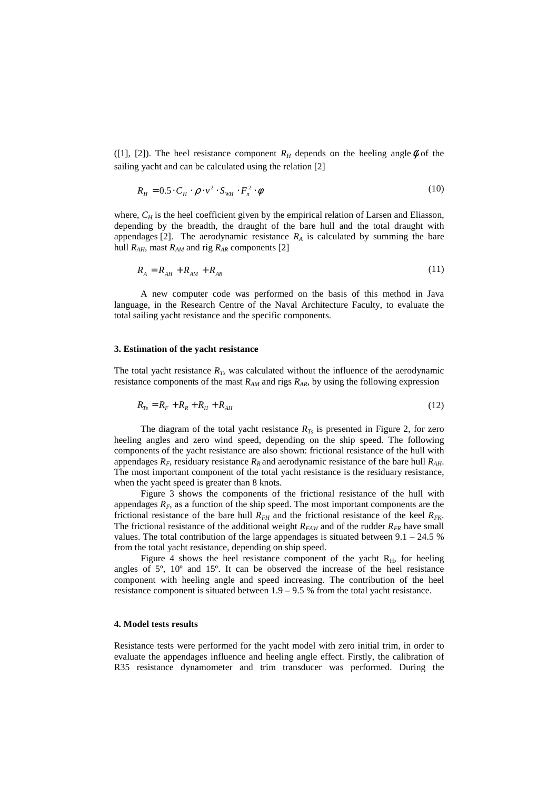([1], [2]). The heel resistance component  $R_H$  depends on the heeling angle  $\phi$  of the sailing yacht and can be calculated using the relation [2]

$$
R_H = 0.5 \cdot C_H \cdot \rho \cdot v^2 \cdot S_{WH} \cdot F_n^2 \cdot \phi \tag{10}
$$

where,  $C_H$  is the heel coefficient given by the empirical relation of Larsen and Eliasson, depending by the breadth, the draught of the bare hull and the total draught with appendages [2]. The aerodynamic resistance  $R_A$  is calculated by summing the bare hull  $R_{AH}$ , mast  $R_{AM}$  and rig  $R_{AR}$  components [2]

$$
R_A = R_{AH} + R_{AM} + R_{AR}
$$
 (11)

 A new computer code was performed on the basis of this method in Java language, in the Research Centre of the Naval Architecture Faculty, to evaluate the total sailing yacht resistance and the specific components.

#### **3. Estimation of the yacht resistance**

The total yacht resistance  $R_{T<sub>S</sub>}$  was calculated without the influence of the aerodynamic resistance components of the mast  $R_{AM}$  and rigs  $R_{AR}$ , by using the following expression

$$
R_{Ts} = R_F + R_R + R_H + R_{AH}
$$
 (12)

The diagram of the total yacht resistance  $R_{Ts}$  is presented in Figure 2, for zero heeling angles and zero wind speed, depending on the ship speed. The following components of the yacht resistance are also shown: frictional resistance of the hull with appendages *RF*, residuary resistance *RR* and aerodynamic resistance of the bare hull *RAH*. The most important component of the total yacht resistance is the residuary resistance, when the yacht speed is greater than 8 knots.

 Figure 3 shows the components of the frictional resistance of the hull with appendages  $R_F$ , as a function of the ship speed. The most important components are the frictional resistance of the bare hull  $R<sub>FH</sub>$  and the frictional resistance of the keel  $R<sub>FK</sub>$ . The frictional resistance of the additional weight  $R_{FAW}$  and of the rudder  $R_{FR}$  have small values. The total contribution of the large appendages is situated between  $9.1 - 24.5$  % from the total yacht resistance, depending on ship speed.

Figure 4 shows the heel resistance component of the yacht  $R<sub>H</sub>$ , for heeling angles of  $5^\circ$ ,  $10^\circ$  and  $15^\circ$ . It can be observed the increase of the heel resistance component with heeling angle and speed increasing. The contribution of the heel resistance component is situated between 1.9 – 9.5 % from the total yacht resistance.

# **4. Model tests results**

Resistance tests were performed for the yacht model with zero initial trim, in order to evaluate the appendages influence and heeling angle effect. Firstly, the calibration of R35 resistance dynamometer and trim transducer was performed. During the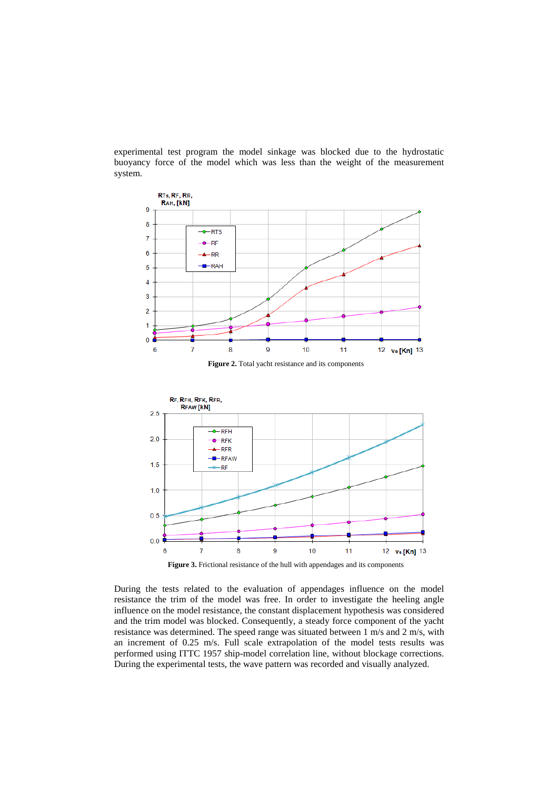experimental test program the model sinkage was blocked due to the hydrostatic buoyancy force of the model which was less than the weight of the measurement system.



**Figure 3.** Frictional resistance of the hull with appendages and its components

During the tests related to the evaluation of appendages influence on the model resistance the trim of the model was free. In order to investigate the heeling angle influence on the model resistance, the constant displacement hypothesis was considered and the trim model was blocked. Consequently, a steady force component of the yacht resistance was determined. The speed range was situated between 1 m/s and 2 m/s, with an increment of 0.25 m/s. Full scale extrapolation of the model tests results was performed using ITTC 1957 ship-model correlation line, without blockage corrections. During the experimental tests, the wave pattern was recorded and visually analyzed.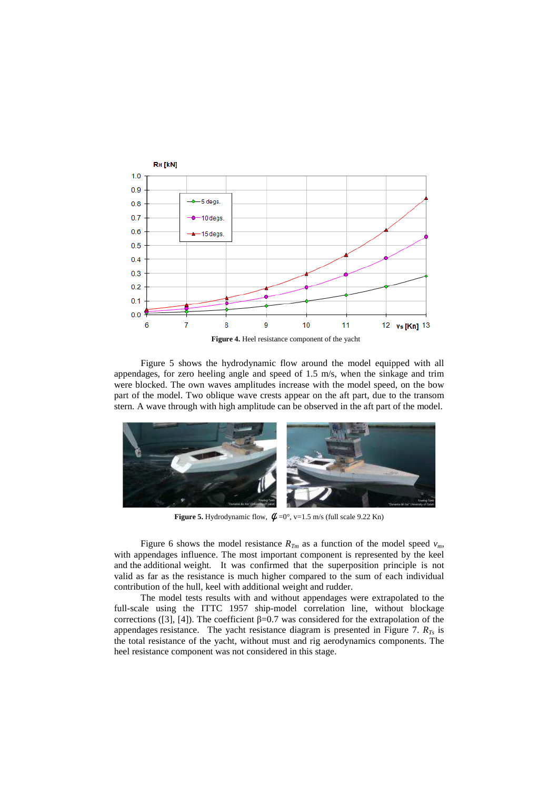

 Figure 5 shows the hydrodynamic flow around the model equipped with all appendages, for zero heeling angle and speed of 1.5 m/s, when the sinkage and trim were blocked. The own waves amplitudes increase with the model speed, on the bow part of the model. Two oblique wave crests appear on the aft part, due to the transom stern. A wave through with high amplitude can be observed in the aft part of the model.



**Figure 5.** Hydrodynamic flow,  $\phi = 0^\circ$ , v=1.5 m/s (full scale 9.22 Kn)

Figure 6 shows the model resistance  $R_{Tm}$  as a function of the model speed  $v_m$ , with appendages influence. The most important component is represented by the keel and the additional weight. It was confirmed that the superposition principle is not valid as far as the resistance is much higher compared to the sum of each individual contribution of the hull, keel with additional weight and rudder.

 The model tests results with and without appendages were extrapolated to the full-scale using the ITTC 1957 ship-model correlation line, without blockage corrections ([3], [4]). The coefficient  $\beta$ =0.7 was considered for the extrapolation of the appendages resistance. The yacht resistance diagram is presented in Figure 7. *RTs* is the total resistance of the yacht, without must and rig aerodynamics components. The heel resistance component was not considered in this stage.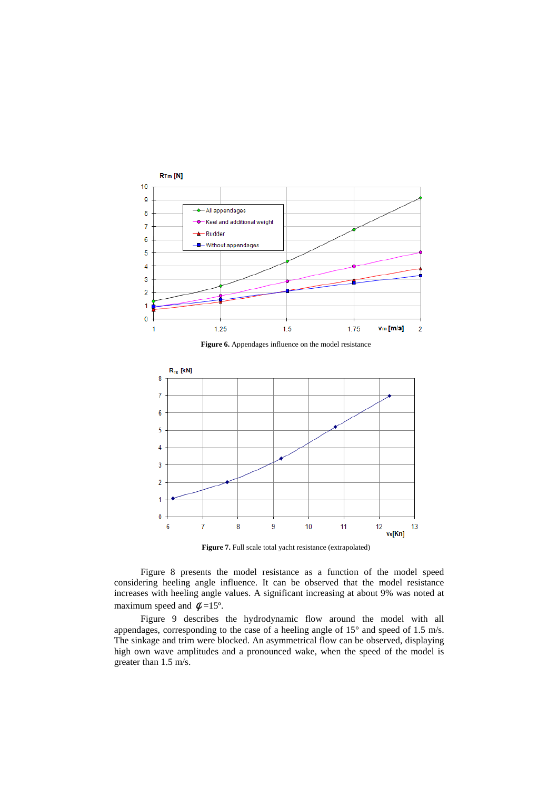

**Figure 7.** Full scale total yacht resistance (extrapolated)

Figure 8 presents the model resistance as a function of the model speed considering heeling angle influence. It can be observed that the model resistance increases with heeling angle values. A significant increasing at about 9% was noted at maximum speed and  $\phi = 15^{\circ}$ .

 Figure 9 describes the hydrodynamic flow around the model with all appendages, corresponding to the case of a heeling angle of 15° and speed of 1.5 m/s. The sinkage and trim were blocked. An asymmetrical flow can be observed, displaying high own wave amplitudes and a pronounced wake, when the speed of the model is greater than 1.5 m/s.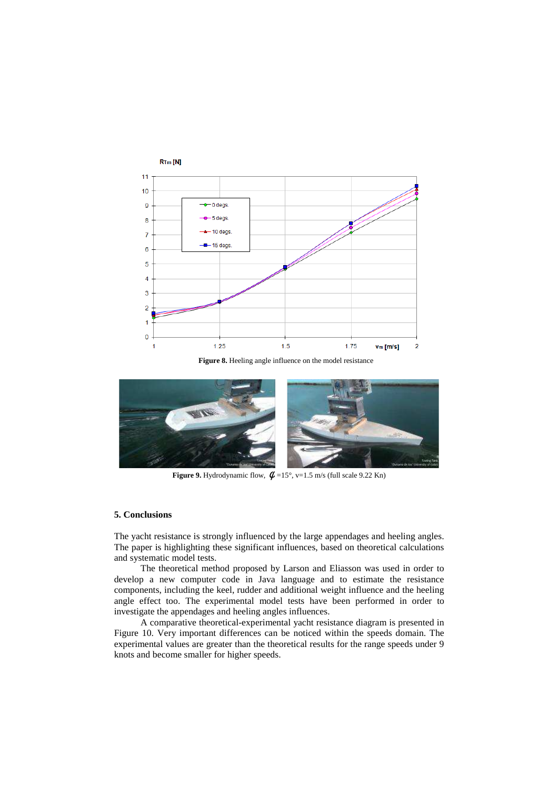

**Figure 8.** Heeling angle influence on the model resistance



**Figure 9.** Hydrodynamic flow,  $\phi = 15^{\circ}$ , v=1.5 m/s (full scale 9.22 Kn)

## **5. Conclusions**

The yacht resistance is strongly influenced by the large appendages and heeling angles. The paper is highlighting these significant influences, based on theoretical calculations and systematic model tests.

 The theoretical method proposed by Larson and Eliasson was used in order to develop a new computer code in Java language and to estimate the resistance components, including the keel, rudder and additional weight influence and the heeling angle effect too. The experimental model tests have been performed in order to investigate the appendages and heeling angles influences.

 A comparative theoretical-experimental yacht resistance diagram is presented in Figure 10. Very important differences can be noticed within the speeds domain. The experimental values are greater than the theoretical results for the range speeds under 9 knots and become smaller for higher speeds.